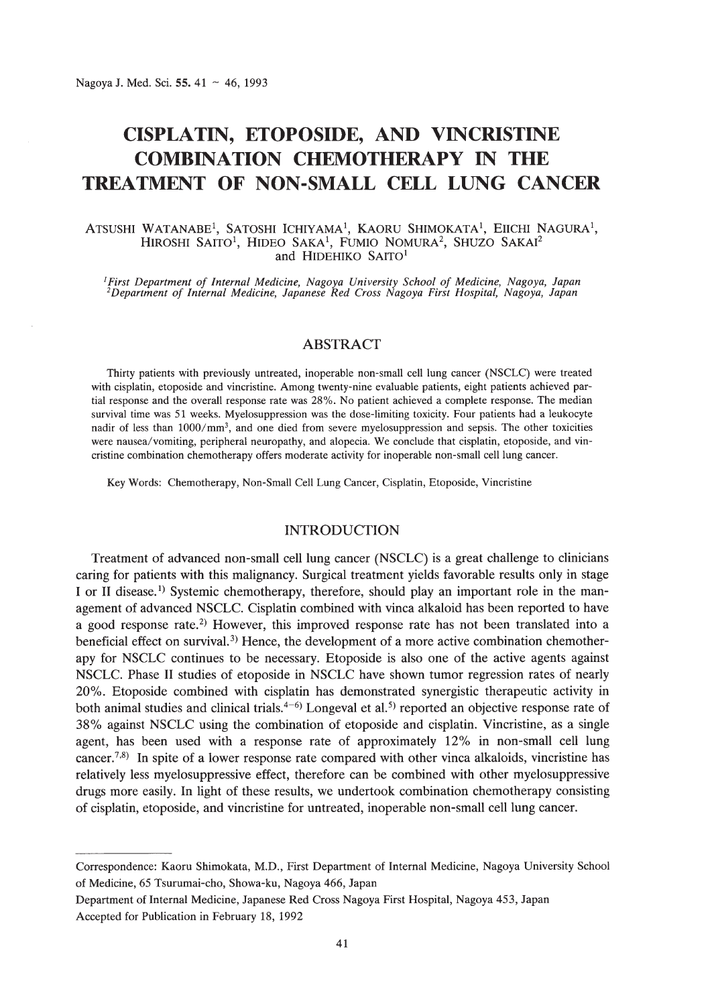# **CISPLATIN, ETOPOSIDE, AND VINCRISTINE COMBINATION CHEMOTHERAPY IN THE TREATMENT OF NON-SMALL CELL LUNG CANCER**

#### Atsushi Watanabe<sup>1</sup>, Satoshi Ichiyama<sup>1</sup>, Kaoru Shimokata<sup>1</sup>, Eiichi Nagura<sup>1</sup>, Hiroshi Saito<sup>1</sup>, Hideo Saka<sup>1</sup>, Fumio Nomura<sup>2</sup>, Shuzo Sakai<sup>2</sup> and HIDEHIKO SAITO'

<sup>1</sup>First Department of Internal Medicine, Nagoya University School of Medicine, Nagoya, Japan<br><sup>2</sup>Department of Internal Medicine, Japanese Red Cross Nagoya First Hospital, Nagoya, Japan

## ABSTRACT

Thirty patients with previously untreated, inoperable non-small cell lung cancer (NSCLC) were treated with cisplatin, etoposide and vincristine. Among twenty-nine evaluable patients, eight patients achieved partial response and the overall response rate was 28%. No patient achieved a complete response. The median survival time was 51 weeks. Myelosuppression was the dose-limiting toxicity. Four patients had a leukocyte nadir of less than 1000/mm<sup>3</sup>, and one died from severe myelosuppression and sepsis. The other toxicities were nausea/vomiting, peripheral neuropathy, and alopecia. We conclude that cisplatin, etoposide, and vincristine combination chemotherapy offers moderate activity for inoperable non-small cell lung cancer.

Key Words: Chemotherapy, Non-Small Cell Lung Cancer, Cisplatin, Etoposide, Vincristine

### INTRODUCTION

Treatment of advanced non-small cell lung cancer (NSCLC) is a great challenge to clinicians caring for patients with this malignancy. Surgical treatment yields favorable results only in stage I or II disease.<sup>1)</sup> Systemic chemotherapy, therefore, should play an important role in the management of advanced NSCLC. Cisplatin combined with vinca alkaloid has been reported to have a good response rate.2) However, this improved response rate has not been translated into a beneficial effect on survival.<sup>3)</sup> Hence, the development of a more active combination chemotherapy for NSCLC continues to be necessary. Etoposide is also one of the active agents against NSCLC. Phase II studies of etoposide in NSCLC have shown tumor regression rates of nearly 20%. Etoposide combined with cisplatin has demonstrated synergistic therapeutic activity in both animal studies and clinical trials.<sup>4-6)</sup> Longeval et al.<sup>5)</sup> reported an objective response rate of 38% against NSCLC using the combination of etoposide and cisplatin. Vincristine, as a single agent, has been used with a response rate of approximately 12% in non-small cell lung cancer.7,8) **In** spite of a lower response rate compared with other vinca alkaloids, vincristine has relatively less myelosuppressive effect, therefore can be combined with other myelosuppressive drugs more easily. **In** light of these results, we undertook combination chemotherapy consisting of cisplatin, etoposide, and vincristine for untreated, inoperable non-small cell lung cancer.

Correspondence: Kaoru Shimokata, M.D., First Department of Internal Medicine, Nagoya University School of Medicine, 65 Tsurumai-cho, Showa-ku, Nagoya 466, Japan

Department of Internal Medicine, Japanese Red Cross Nagoya First Hospital, Nagoya 453, Japan Accepted for Publication in February 18, 1992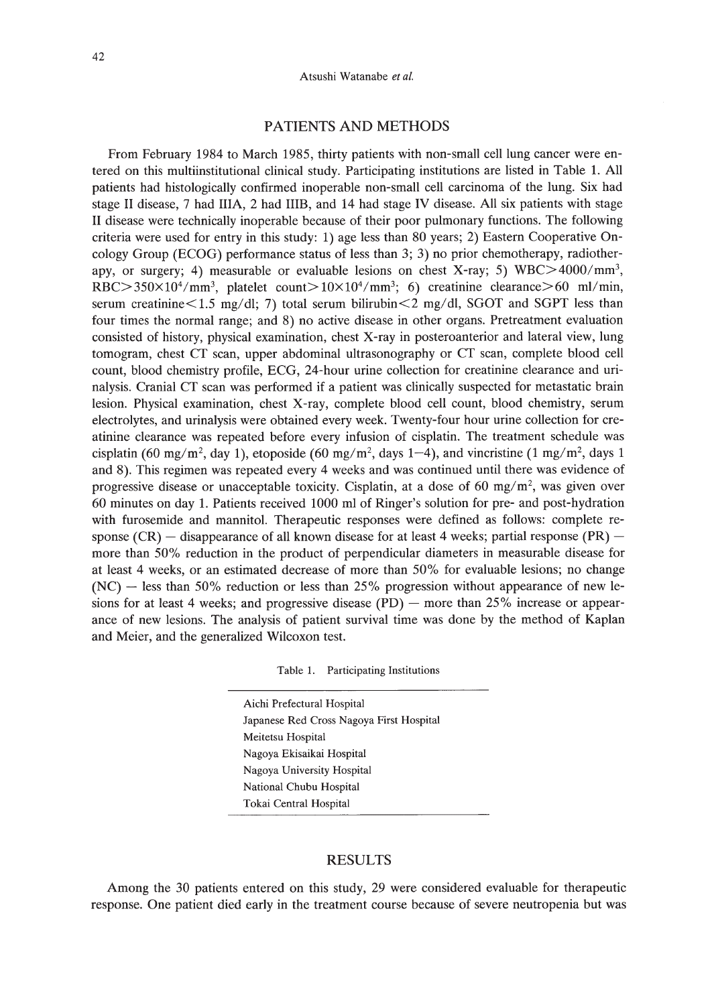#### Atsushi Watanabe *et al.*

# PATIENTS AND METHODS

From February 1984 to March 1985, thirty patients with non-small cell lung cancer were entered on this multiinstitutional clinical study. Participating institutions are listed in Table 1. All patients had histologically confirmed inoperable non-small cell carcinoma of the lung. Six had stage II disease, 7 had IlIA, 2 had I1IB, and 14 had stage IV disease. All six patients with stage II disease were technically inoperable because of their poor pulmonary functions. The following criteria were used for entry in this study: 1) age less than 80 years; 2) Eastern Cooperative Oncology Group (ECOG) performance status of less than 3; 3) no prior chemotherapy, radiotherapy, or surgery; 4) measurable or evaluable lesions on chest X-ray; 5) WBC>4000/mm3, RBC $>350\times10^4/\text{mm}^3$ , platelet count $>10\times10^4/\text{mm}^3$ ; 6) creatinine clearance $>60$  ml/min, serum creatinine $<$ 1.5 mg/dl; 7) total serum bilirubin $<$ 2 mg/dl, SGOT and SGPT less than four times the normal range; and 8) no active disease in other organs. Pretreatment evaluation consisted of history, physical examination, chest X-ray in posteroanterior and lateral view, lung tomogram, chest CT scan, upper abdominal ultrasonography or CT scan, complete blood cell count, blood chemistry profile, ECG, 24-hour urine collection for creatinine clearance and urinalysis. Cranial CT scan was performed if a patient was clinically suspected for metastatic brain lesion. Physical examination, chest X-ray, complete blood cell count, blood chemistry, serum electrolytes, and urinalysis were obtained every week. Twenty-four hour urine collection for creatinine clearance was repeated before every infusion of cisplatin. The treatment schedule was cisplatin (60 mg/m<sup>2</sup>, day 1), etoposide (60 mg/m<sup>2</sup>, days 1–4), and vincristine (1 mg/m<sup>2</sup>, days 1 and 8). This regimen was repeated every 4 weeks and was continued until there was evidence of progressive disease or unacceptable toxicity. Cisplatin, at a dose of 60 mg/ $m^2$ , was given over 60 minutes on day 1. Patients received 1000 ml of Ringer's solution for pre- and post-hydration with furosemide and mannitol. Therapeutic responses were defined as follows: complete response  $(CR)$  - disappearance of all known disease for at least 4 weeks; partial response  $(PR)$  more than 50% reduction in the product of perpendicular diameters in measurable disease for at least 4 weeks, or an estimated decrease of more than 50% for evaluable lesions; no change  $(NC)$  - less than 50% reduction or less than 25% progression without appearance of new lesions for at least 4 weeks; and progressive disease  $(PD)$  — more than 25% increase or appearance of new lesions. The analysis of patient survival time was done by the method of Kaplan and Meier, and the generalized Wilcoxon test.

Aichi Prefectural Hospital Japanese Red Cross Nagoya First Hospital Meitetsu Hospital Nagoya Ekisaikai Hospital Nagoya University Hospital National Chubu Hospital Tokai Central Hospital

#### RESULTS

Among the 30 patients entered on this study, 29 were considered evaluable for therapeutic response. One patient died early in the treatment course because of severe neutropenia but was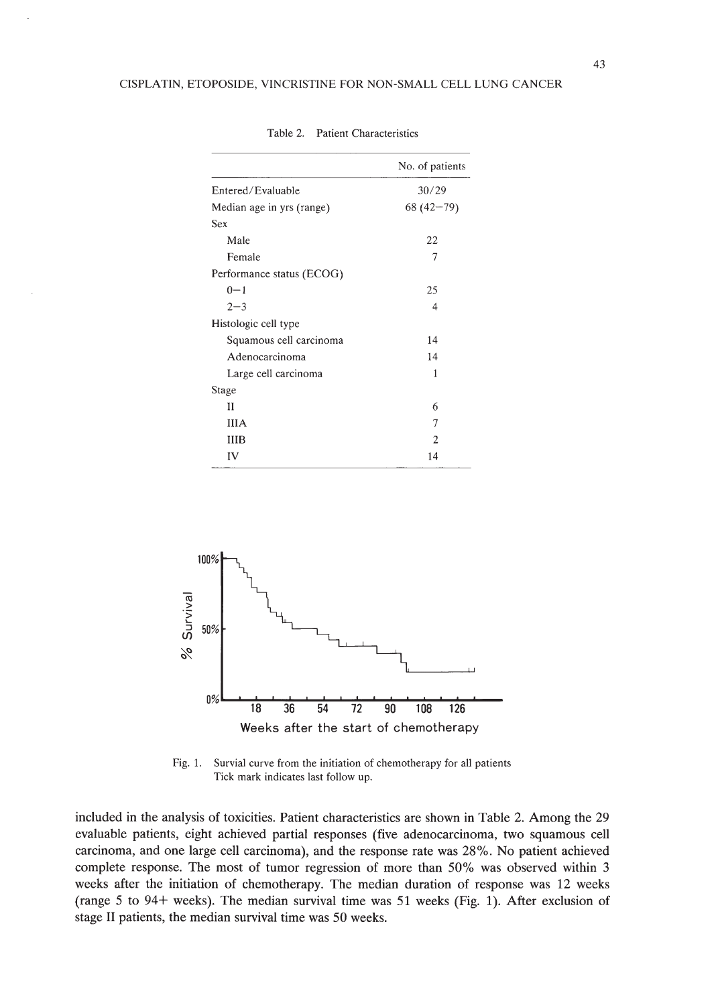|                           | No. of patients |
|---------------------------|-----------------|
| Entered/Evaluable         | 30/29           |
| Median age in yrs (range) | $68(42-79)$     |
| Sex                       |                 |
| Male                      | 22              |
| Female                    | 7               |
| Performance status (ECOG) |                 |
| $0 - 1$                   | 25              |
| $2 - 3$                   | 4               |
| Histologic cell type      |                 |
| Squamous cell carcinoma   | 14              |
| Adenocarcinoma            | 14              |
| Large cell carcinoma      | 1               |
| Stage                     |                 |
| Н                         | 6               |
| <b>IIIA</b>               | 7               |
| ШВ                        | 2               |
| IV                        | 14              |

Table 2. Patient Characteristics



Fig. 1. Survial curve from the initiation of chemotherapy for all patients Tick mark indicates last follow up.

included in the analysis of toxicities. Patient characteristics are shown in Table 2. Among the 29 evaluable patients, eight achieved partial responses (five adenocarcinoma, two squamous cell carcinoma, and one large cell carcinoma), and the response rate was 28%. No patient achieved complete response. The most of tumor regression of more than 50% was observed within 3 weeks after the initiation of chemotherapy. The median duration of response was 12 weeks (range 5 to 94+ weeks). The median survival time was 51 weeks (Fig. 1). After exclusion of stage II patients, the median survival time was 50 weeks.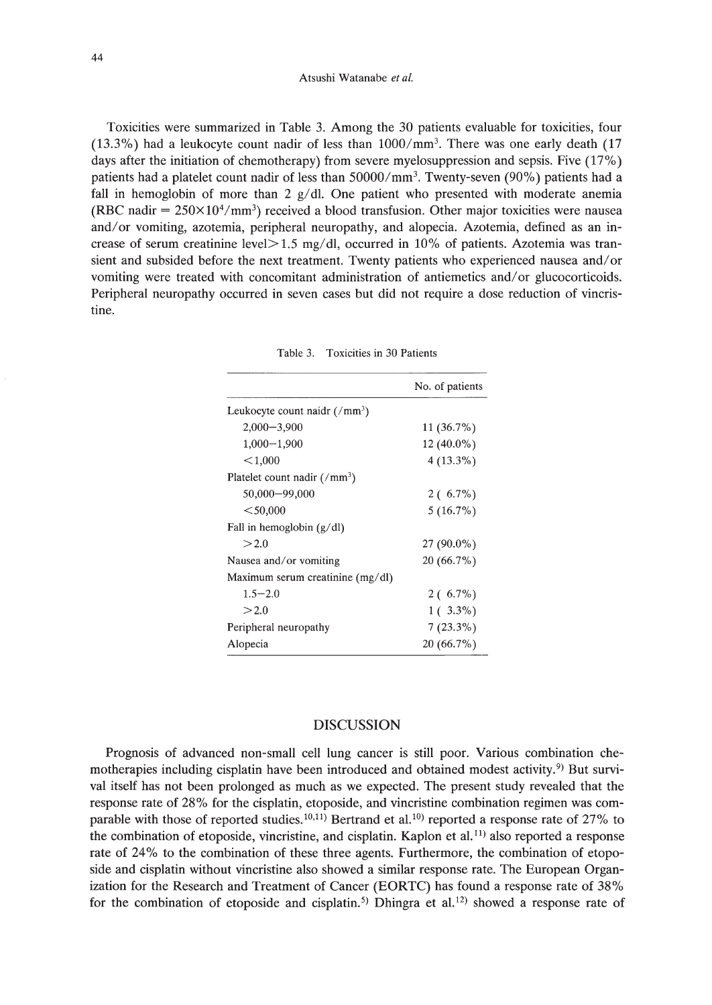#### Atsushi Watanabe *et al.*

Toxicities were summarized in Table 3. Among the 30 patients evaluable for toxicities, four  $(13.3\%)$  had a leukocyte count nadir of less than  $1000/\text{mm}^3$ . There was one early death (17) days after the initiation of chemotherapy) from severe myelosuppression and sepsis. Five  $(17\%)$ patients had a platelet count nadir of less than  $50000/\text{mm}^3$ . Twenty-seven (90%) patients had a fall in hemoglobin of more than 2  $g/d$ . One patient who presented with moderate anemia (RBC nadir  $= 250 \times 10^4/\text{mm}^3$ ) received a blood transfusion. Other major toxicities were nausea and/or vomiting, azotemia, peripheral neuropathy, and alopecia. Azotemia, defined as an increase of serum creatinine level $> 1.5$  mg/dl, occurred in 10% of patients. Azotemia was transient and subsided before the next treatment. Twenty patients who experienced nausea and/or vomiting were treated with concomitant administration of antiemetics and/or glucocorticoids. Peripheral neuropathy occurred in seven cases but did not require a dose reduction of vincristine.

|                                               | No. of patients |
|-----------------------------------------------|-----------------|
| Leukocyte count naidr $\frac{7}{\text{mm}^3}$ |                 |
| $2,000 - 3,900$                               | $11(36.7\%)$    |
| $1,000 - 1,900$                               | $12(40.0\%)$    |
| < 1,000                                       | $4(13.3\%)$     |
| Platelet count nadir $\frac{7}{\text{mm}^3}$  |                 |
| 50,000-99,000                                 | $2(6.7\%)$      |
| $<$ 50,000                                    | $5(16.7\%)$     |
| Fall in hemoglobin $(g/dl)$                   |                 |
| >2.0                                          | $27(90.0\%)$    |
| Nausea and/or vomiting                        | 20 (66.7%)      |
| Maximum serum creatinine (mg/dl)              |                 |
| $1.5 - 2.0$                                   | $2(6.7\%)$      |
| >2.0                                          | $1(3.3\%)$      |
| Peripheral neuropathy                         | $7(23.3\%)$     |
| Alopecia                                      | 20 (66.7%)      |

## DISCUSSION

Prognosis of advanced non-small cell lung cancer is still poor. Various combination chemotherapies including cisplatin have been introduced and obtained modest activity.<sup>9)</sup> But survival itself has not been prolonged as much as we expected. The present study revealed that the response rate of 28% for the cisplatin, etoposide, and vincristine combination regimen was comparable with those of reported studies.<sup>10,11</sup> Bertrand et al.<sup>10</sup> reported a response rate of 27% to the combination of etoposide, vincristine, and cisplatin. Kaplon et al.<sup>11)</sup> also reported a response rate of 24% to the combination of these three agents. Furthermore, the combination of etoposide and cisplatin without vincristine also showed a similar response rate. The European Organization for the Research and Treatment of Cancer (EORTC) has found a response rate of 38% for the combination of etoposide and cisplatin.<sup>5)</sup> Dhingra et al.<sup>12)</sup> showed a response rate of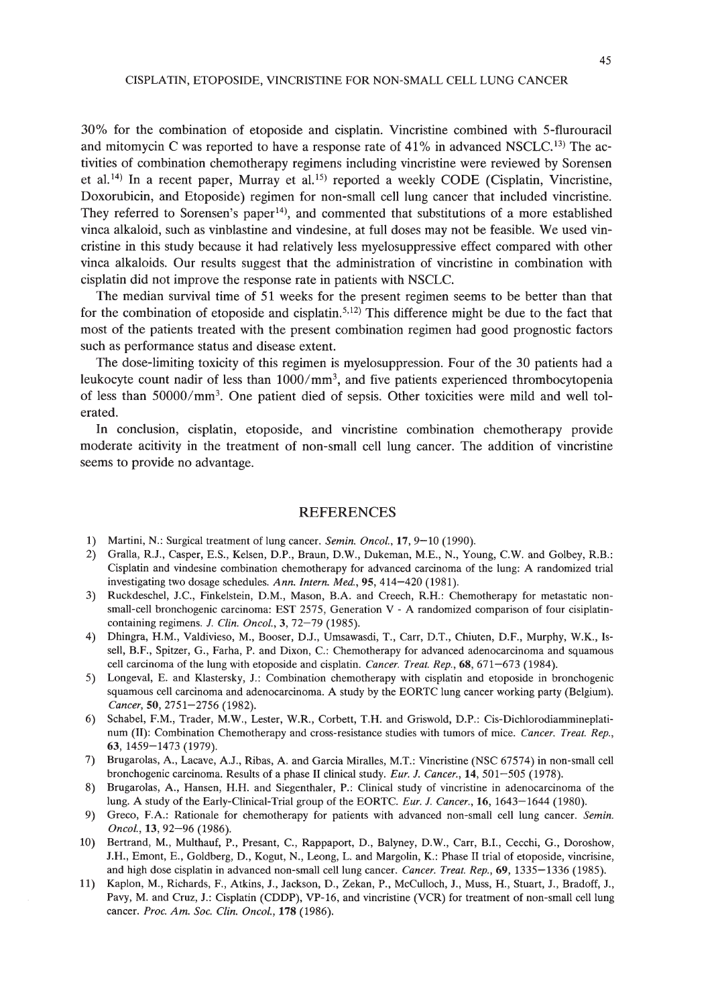30% for the combination of etoposide and cisplatin. Vincristine combined with 5-flurouracil and mitomycin C was reported to have a response rate of  $41\%$  in advanced NSCLC.<sup>13</sup>) The activities of combination chemotherapy regimens including vincristine were reviewed by Sorensen et al.<sup>14)</sup> In a recent paper, Murray et al.<sup>15)</sup> reported a weekly CODE (Cisplatin, Vincristine, Doxorubicin, and Etoposide) regimen for non-small cell lung cancer that included vincristine. They referred to Sorensen's paper<sup>14</sup>), and commented that substitutions of a more established vinca alkaloid, such as vinblastine and vindesine, at full doses may not be feasible. We used vincristine in this study because it had relatively less myelosuppressive effect compared with other vinca alkaloids. Our results suggest that the administration of vincristine in combination with cisplatin did not improve the response rate in patients with NSCLC.

The median survival time of 51 weeks for the present regimen seems to be better than that for the combination of etoposide and cisplatin.<sup>5,12)</sup> This difference might be due to the fact that most of the patients treated with the present combination regimen had good prognostic factors such as performance status and disease extent.

The dose-limiting toxicity of this regimen is myelosuppression. Four of the 30 patients had a leukocyte count nadir of less than lOOO/mm3, and five patients experienced thrombocytopenia of less than 50000/mm3• One patient died of sepsis. Other toxicities were mild and well tolerated.

In conclusion, cisplatin, etoposide, and vincristine combination chemotherapy provide moderate acitivity in the treatment of non-small cell lung cancer. The addition of vincristine seems to provide no advantage.

## REFERENCES

- 1) Martini, N.: Surgical treatment of lung cancer. *Semin. Oncol.*, 17, 9-10 (1990).
- 2) Gralla, RJ., Casper, E.S., Kelsen, D.P., Braun, D.W., Dukeman, M.E., N., Young, e.W. and Golbey, R.B.: Cisplatin and vindesine combination chemotherapy for advanced carcinoma of the lung: A randomized trial investigating two dosage schedules. *Ann. Intern. Med.,* 95, 414-420 (1981).
- 3) Ruckdeschel, J.C., Finkelstein, D.M., Mason, B.A. and Creech, R.H.: Chemotherapy for metastatic nonsmall-cell bronchogenic carcinoma: EST 2575, Generation V - A randomized comparison of four cisiplatincontaining regimens. J. *Clin. Oneal.,* 3, 72-79 (1985).
- 4) Dhingra, H.M., Valdivieso, M., Booser, DJ., Umsawasdi, T., Carr, D.T., Chiuten, D.F., Murphy, W.K., Issell, B.F., Spitzer, G., Farha, P. and Dixon, C.: Chemotherapy for advanced adenocarcinoma and squamous cell carcinoma of the lung with etoposide and cisplatin. *Cancer. Treat. Rep.,* 68, 671-673 (1984).
- 5) Longeval, E. and Klastersky, J.: Combination chemotherapy with cisplatin and etoposide in bronchogenic squamous cell carcinoma and adenocarcinoma. A study by the EORTC lung cancer working party (Belgium). *Cancer,* 50, 2751-2756 (1982).
- 6) Schabel, F.M., Trader, M.W., Lester, W.R., Corbett, T.H. and Griswold, D.P.: Cis-Dichlorodiammineplatinum (II): Combination Chemotherapy and cross-resistance studies with tumors of mice. *Cancer. Treat. Rep.,* 63, 1459-1473 (1979).
- 7) Brugarolas, A, Lacave, A.J., Ribas, A and Garcia Miralles, M.T.: Vincristine (NSC 67574) in non-small cell bronchogenic carcinoma. Results of a phase II clinical study. *Eur.* J. *Cancer.,* 14, 501-505 (1978).
- 8) Brugarolas, A, Hansen, H.H. and Siegenthaler, P.: Clinical study of vincristine in adenocarcinoma of the lung. A study of the Early-Clinical-Trial group of the EORTC. *Eur. J. Cancer.*, 16, 1643–1644 (1980).
- 9) Greco, F.A: Rationale for chemotherapy for patients with advanced non-small cell lung cancer. *Semin. Oneal.,* 13, 92-96 (1986).
- 10) Bertrand, M., Multhauf, P., Presant, C., Rappaport, D., Balyney, D.W., Carr, B.1., Cecchi, G., Doroshow, J.H., Emont, E., Goldberg, D., Kogut, N., Leong, L. and Margolin, K.: Phase II trial of etoposide, vincrisine, and high dose cisplatin in advanced non-small cell lung cancer. *Cancer. Treat. Rep.,* 69, 1335-1336 (1985).
- 11) Kaplon, M., Richards, F., Atkins, J., Jackson, D., Zekan, P., McCulloch, J., Muss, H., Stuart, J., Bradoff, J., Pavy, M. and Cruz, J.: Cisplatin (CDDP), VP-16, and vincristine (VCR) for treatment of non-small cell lung cancer. *Prac. Am. Sac. Clin. Oneal.,* 178 (1986).